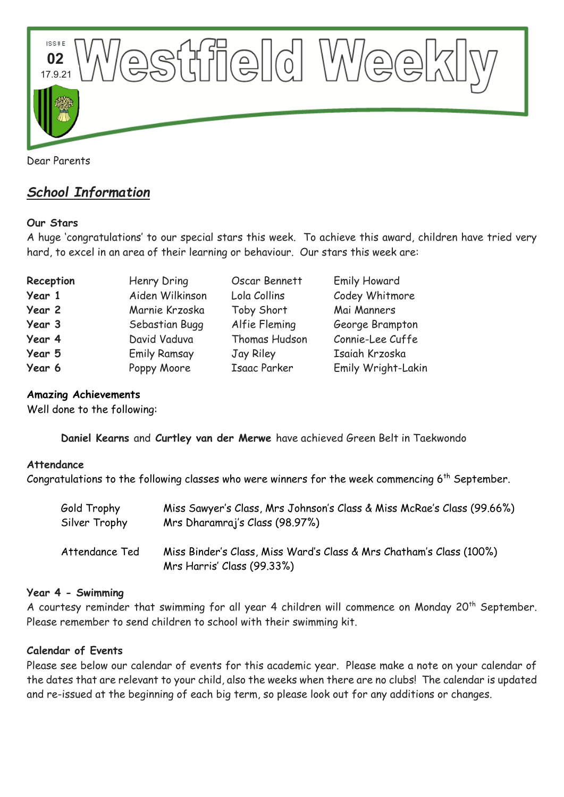

## *School Information*

## **Our Stars**

A huge 'congratulations' to our special stars this week. To achieve this award, children have tried very hard, to excel in an area of their learning or behaviour. Our stars this week are:

| Reception | Henry Dring         | Oscar Bennett       | <b>Emily Howard</b> |
|-----------|---------------------|---------------------|---------------------|
| Year 1    | Aiden Wilkinson     | Lola Collins        | Codey Whitmore      |
| Year 2    | Marnie Krzoska      | Toby Short          | Mai Manners         |
| Year 3    | Sebastian Bugg      | Alfie Fleming       | George Brampton     |
| Year 4    | David Vaduva        | Thomas Hudson       | Connie-Lee Cuffe    |
| Year 5    | <b>Emily Ramsay</b> | Jay Riley           | Isaiah Krzoska      |
| Year 6    | Poppy Moore         | <b>Isaac Parker</b> | Emily Wright-Lakin  |

#### **Amazing Achievements**

Well done to the following:

**Daniel Kearns** and **Curtley van der Merwe** have achieved Green Belt in Taekwondo

#### **Attendance**

Congratulations to the following classes who were winners for the week commencing 6<sup>th</sup> September.

| Gold Trophy    | Miss Sawyer's Class, Mrs Johnson's Class & Miss McRae's Class (99.66%)                            |
|----------------|---------------------------------------------------------------------------------------------------|
| Silver Trophy  | Mrs Dharamraj's Class (98.97%)                                                                    |
| Attendance Ted | Miss Binder's Class, Miss Ward's Class & Mrs Chatham's Class (100%)<br>Mrs Harris' Class (99.33%) |

#### **Year 4 - Swimming**

A courtesy reminder that swimming for all year 4 children will commence on Monday 20<sup>th</sup> September. Please remember to send children to school with their swimming kit.

#### **Calendar of Events**

Please see below our calendar of events for this academic year. Please make a note on your calendar of the dates that are relevant to your child, also the weeks when there are no clubs! The calendar is updated and re-issued at the beginning of each big term, so please look out for any additions or changes.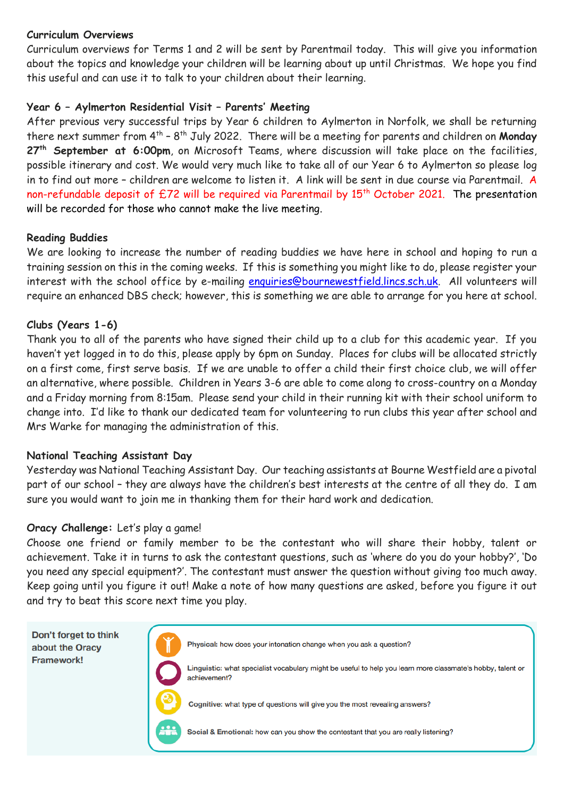#### **Curriculum Overviews**

Curriculum overviews for Terms 1 and 2 will be sent by Parentmail today. This will give you information about the topics and knowledge your children will be learning about up until Christmas. We hope you find this useful and can use it to talk to your children about their learning.

## **Year 6 – Aylmerton Residential Visit – Parents' Meeting**

After previous very successful trips by Year 6 children to Aylmerton in Norfolk, we shall be returning there next summer from 4<sup>th</sup> - 8<sup>th</sup> July 2022. There will be a meeting for parents and children on **Monday 27th September at 6:00pm**, on Microsoft Teams, where discussion will take place on the facilities, possible itinerary and cost. We would very much like to take all of our Year 6 to Aylmerton so please log in to find out more – children are welcome to listen it. A link will be sent in due course via Parentmail. A non-refundable deposit of £72 will be required via Parentmail by 15<sup>th</sup> October 2021. The presentation will be recorded for those who cannot make the live meeting.

#### **Reading Buddies**

We are looking to increase the number of reading buddies we have here in school and hoping to run a training session on this in the coming weeks. If this is something you might like to do, please register your interest with the school office by e-mailing [enquiries@bournewestfield.lincs.sch.uk.](mailto:enquiries@bournewestfield.lincs.sch.uk) All volunteers will require an enhanced DBS check; however, this is something we are able to arrange for you here at school.

#### **Clubs (Years 1-6)**

Thank you to all of the parents who have signed their child up to a club for this academic year. If you haven't yet logged in to do this, please apply by 6pm on Sunday. Places for clubs will be allocated strictly on a first come, first serve basis. If we are unable to offer a child their first choice club, we will offer an alternative, where possible. Children in Years 3-6 are able to come along to cross-country on a Monday and a Friday morning from 8:15am. Please send your child in their running kit with their school uniform to change into. I'd like to thank our dedicated team for volunteering to run clubs this year after school and Mrs Warke for managing the administration of this.

#### **National Teaching Assistant Day**

Yesterday was National Teaching Assistant Day. Our teaching assistants at Bourne Westfield are a pivotal part of our school – they are always have the children's best interests at the centre of all they do. I am sure you would want to join me in thanking them for their hard work and dedication.

#### **Oracy Challenge:** Let's play a game!

Choose one friend or family member to be the contestant who will share their hobby, talent or achievement. Take it in turns to ask the contestant questions, such as 'where do you do your hobby?', 'Do you need any special equipment?'. The contestant must answer the question without giving too much away. Keep going until you figure it out! Make a note of how many questions are asked, before you figure it out and try to beat this score next time you play.

Don't forget to think about the Oracy Framework!



Physical: how does your intonation change when you ask a question?

Linguistic: what specialist vocabulary might be useful to help you learn more classmate's hobby, talent or achievement?



Social & Emotional: how can you show the contestant that you are really listening?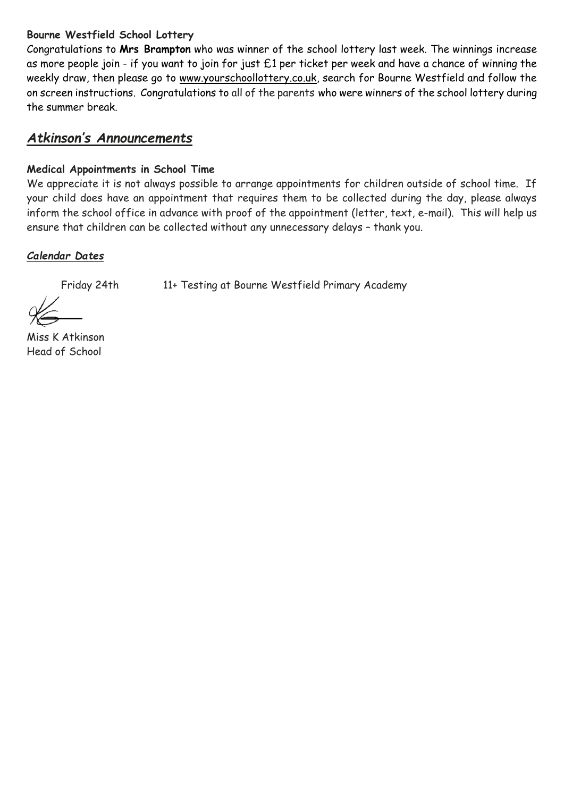## **Bourne Westfield School Lottery**

Congratulations to **Mrs Brampton** who was winner of the school lottery last week. The winnings increase as more people join - if you want to join for just £1 per ticket per week and have a chance of winning the weekly draw, then please go to [www.yourschoollottery.co.uk,](http://www.yourschoollottery.co.uk/) search for Bourne Westfield and follow the on screen instructions. Congratulations to all of the parents who were winners of the school lottery during the summer break.

# *Atkinson's Announcements*

## **Medical Appointments in School Time**

We appreciate it is not always possible to arrange appointments for children outside of school time. If your child does have an appointment that requires them to be collected during the day, please always inform the school office in advance with proof of the appointment (letter, text, e-mail). This will help us ensure that children can be collected without any unnecessary delays – thank you.

## *Calendar Dates*

Friday 24th 11+ Testing at Bourne Westfield Primary Academy

Miss K Atkinson Head of School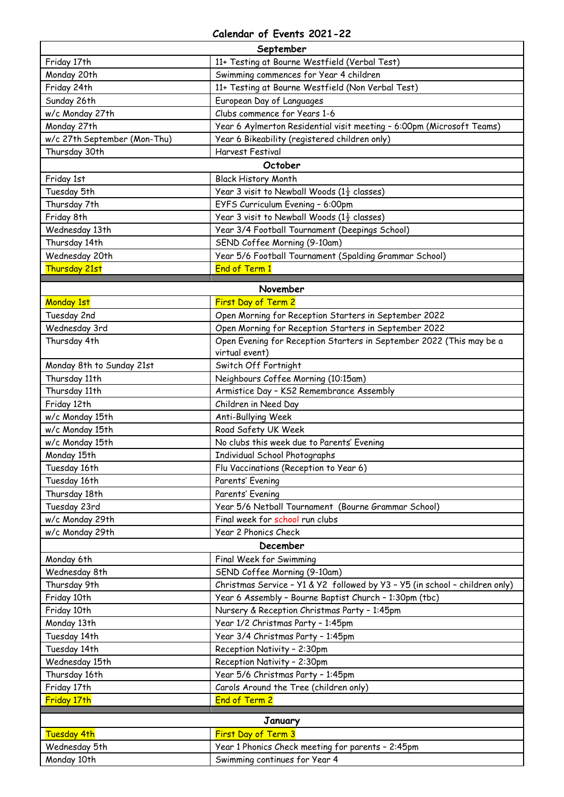#### **Calendar of Events 2021-22**

| September                    |                                                                             |  |  |
|------------------------------|-----------------------------------------------------------------------------|--|--|
| Friday 17th                  | 11+ Testing at Bourne Westfield (Verbal Test)                               |  |  |
| Monday 20th                  | Swimming commences for Year 4 children                                      |  |  |
| Friday 24th                  | 11+ Testing at Bourne Westfield (Non Verbal Test)                           |  |  |
| Sunday 26th                  | European Day of Languages                                                   |  |  |
| w/c Monday 27th              | Clubs commence for Years 1-6                                                |  |  |
| Monday 27th                  | Year 6 Aylmerton Residential visit meeting - 6:00pm (Microsoft Teams)       |  |  |
| w/c 27th September (Mon-Thu) | Year 6 Bikeability (registered children only)                               |  |  |
| Thursday 30th                | <b>Harvest Festival</b>                                                     |  |  |
|                              | October                                                                     |  |  |
| Friday 1st                   | <b>Black History Month</b>                                                  |  |  |
| Tuesday 5th                  | Year 3 visit to Newball Woods ( $1\frac{1}{2}$ classes)                     |  |  |
| Thursday 7th                 | EYFS Curriculum Evening - 6:00pm                                            |  |  |
| Friday 8th                   | Year 3 visit to Newball Woods ( $1\frac{1}{2}$ classes)                     |  |  |
| Wednesday 13th               | Year 3/4 Football Tournament (Deepings School)                              |  |  |
| Thursday 14th                | SEND Coffee Morning (9-10am)                                                |  |  |
| Wednesday 20th               | Year 5/6 Football Tournament (Spalding Grammar School)                      |  |  |
| Thursday 21st                | <b>End of Term 1</b>                                                        |  |  |
|                              | November                                                                    |  |  |
| Monday 1st                   | First Day of Term 2                                                         |  |  |
| Tuesday 2nd                  | Open Morning for Reception Starters in September 2022                       |  |  |
| Wednesday 3rd                | Open Morning for Reception Starters in September 2022                       |  |  |
| Thursday 4th                 | Open Evening for Reception Starters in September 2022 (This may be a        |  |  |
|                              | virtual event)                                                              |  |  |
| Monday 8th to Sunday 21st    | Switch Off Fortnight                                                        |  |  |
| Thursday 11th                | Neighbours Coffee Morning (10:15am)                                         |  |  |
| Thursday 11th                | Armistice Day - KS2 Remembrance Assembly                                    |  |  |
| Friday 12th                  | Children in Need Day                                                        |  |  |
| w/c Monday 15th              | Anti-Bullying Week                                                          |  |  |
| w/c Monday 15th              | Road Safety UK Week                                                         |  |  |
| w/c Monday 15th              | No clubs this week due to Parents' Evening                                  |  |  |
| Monday 15th                  | Individual School Photographs                                               |  |  |
| Tuesday 16th                 | Flu Vaccinations (Reception to Year 6)                                      |  |  |
| Tuesday 16th                 | Parents' Evening                                                            |  |  |
| Thursday 18th                | Parents' Evening                                                            |  |  |
| Tuesday 23rd                 | Year 5/6 Netball Tournament (Bourne Grammar School)                         |  |  |
| w/c Monday 29th              | Final week for school run clubs                                             |  |  |
| w/c Monday 29th              | Year 2 Phonics Check                                                        |  |  |
|                              | December                                                                    |  |  |
| Monday 6th                   | Final Week for Swimming                                                     |  |  |
| Wednesday 8th                | SEND Coffee Morning (9-10am)                                                |  |  |
| Thursday 9th                 | Christmas Service - Y1 & Y2 followed by Y3 - Y5 (in school - children only) |  |  |
| Friday 10th                  | Year 6 Assembly - Bourne Baptist Church - 1:30pm (tbc)                      |  |  |
| Friday 10th                  | Nursery & Reception Christmas Party - 1:45pm                                |  |  |
| Monday 13th                  | Year 1/2 Christmas Party - 1:45pm                                           |  |  |
| Tuesday 14th                 | Year 3/4 Christmas Party - 1:45pm                                           |  |  |
| Tuesday 14th                 | Reception Nativity - 2:30pm                                                 |  |  |
| Wednesday 15th               | Reception Nativity - 2:30pm                                                 |  |  |
| Thursday 16th                | Year 5/6 Christmas Party - 1:45pm                                           |  |  |
| Friday 17th                  | Carols Around the Tree (children only)                                      |  |  |
| Friday 17th                  | <b>End of Term 2</b>                                                        |  |  |
| January                      |                                                                             |  |  |
| <b>Tuesday 4th</b>           | First Day of Term 3                                                         |  |  |
| Wednesday 5th                | Year 1 Phonics Check meeting for parents - 2:45pm                           |  |  |
| Monday 10th                  | Swimming continues for Year 4                                               |  |  |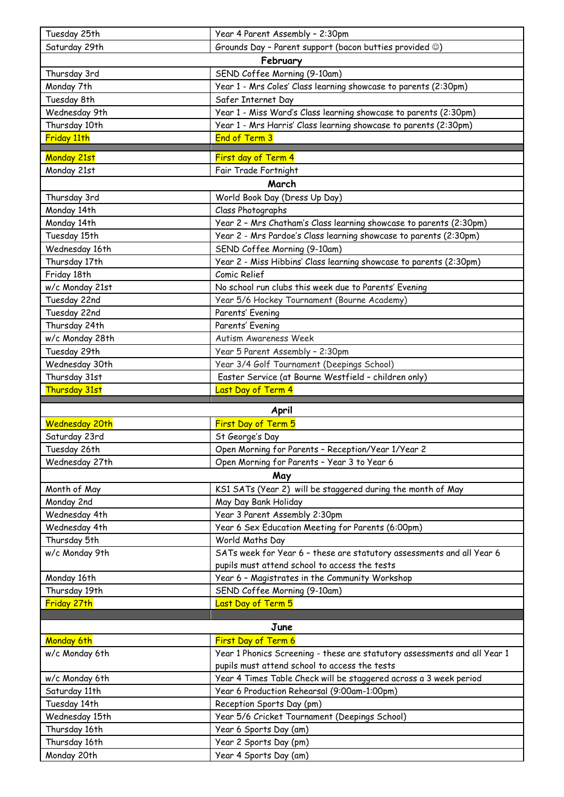| Tuesday 25th                 | Year 4 Parent Assembly - 2:30pm                                           |  |  |
|------------------------------|---------------------------------------------------------------------------|--|--|
| Saturday 29th                | Grounds Day - Parent support (bacon butties provided $\circledcirc$ )     |  |  |
| February                     |                                                                           |  |  |
| Thursday 3rd                 | SEND Coffee Morning (9-10am)                                              |  |  |
| Monday 7th                   | Year 1 - Mrs Coles' Class learning showcase to parents (2:30pm)           |  |  |
| Tuesday 8th                  | Safer Internet Day                                                        |  |  |
| Wednesday 9th                | Year 1 - Miss Ward's Class learning showcase to parents (2:30pm)          |  |  |
| Thursday 10th                | Year 1 - Mrs Harris' Class learning showcase to parents (2:30pm)          |  |  |
| Friday 11th                  | <b>End of Term 3</b>                                                      |  |  |
| <b>Monday 21st</b>           | First day of Term 4                                                       |  |  |
| Monday 21st                  | Fair Trade Fortnight                                                      |  |  |
| March                        |                                                                           |  |  |
| Thursday 3rd                 | World Book Day (Dress Up Day)                                             |  |  |
| Monday 14th                  | Class Photographs                                                         |  |  |
| Monday 14th                  | Year 2 - Mrs Chatham's Class learning showcase to parents (2:30pm)        |  |  |
| Tuesday 15th                 | Year 2 - Mrs Pardoe's Class learning showcase to parents (2:30pm)         |  |  |
| Wednesday 16th               | SEND Coffee Morning (9-10am)                                              |  |  |
| Thursday 17th                | Year 2 - Miss Hibbins' Class learning showcase to parents (2:30pm)        |  |  |
| Friday 18th                  | Comic Relief                                                              |  |  |
| w/c Monday 21st              | No school run clubs this week due to Parents' Evening                     |  |  |
| Tuesday 22nd                 | Year 5/6 Hockey Tournament (Bourne Academy)                               |  |  |
| Tuesday 22nd                 | Parents' Evening                                                          |  |  |
| Thursday 24th                | Parents' Evening                                                          |  |  |
| w/c Monday 28th              | Autism Awareness Week                                                     |  |  |
| Tuesday 29th                 | Year 5 Parent Assembly - 2:30pm                                           |  |  |
| Wednesday 30th               | Year 3/4 Golf Tournament (Deepings School)                                |  |  |
| Thursday 31st                | Easter Service (at Bourne Westfield - children only)                      |  |  |
| Thursday 31st                | Last Day of Term 4                                                        |  |  |
|                              |                                                                           |  |  |
|                              |                                                                           |  |  |
|                              | April                                                                     |  |  |
| <b>Wednesday 20th</b>        | First Day of Term 5                                                       |  |  |
| Saturday 23rd                | St George's Day                                                           |  |  |
| Tuesday 26th                 | Open Morning for Parents - Reception/Year 1/Year 2                        |  |  |
| Wednesday 27th               | Open Morning for Parents - Year 3 to Year 6                               |  |  |
|                              | May                                                                       |  |  |
| Month of May                 | KS1 SATs (Year 2) will be staggered during the month of May               |  |  |
| Monday 2nd                   | May Day Bank Holiday                                                      |  |  |
| Wednesday 4th                | Year 3 Parent Assembly 2:30pm                                             |  |  |
| Wednesday 4th                | Year 6 Sex Education Meeting for Parents (6:00pm)                         |  |  |
| Thursday 5th                 | World Maths Day                                                           |  |  |
| w/c Monday 9th               | SATs week for Year 6 - these are statutory assessments and all Year 6     |  |  |
|                              | pupils must attend school to access the tests                             |  |  |
| Monday 16th<br>Thursday 19th | Year 6 - Magistrates in the Community Workshop                            |  |  |
| Friday 27th                  | SEND Coffee Morning (9-10am)<br>Last Day of Term 5                        |  |  |
|                              |                                                                           |  |  |
|                              | June                                                                      |  |  |
| Monday 6th                   | First Day of Term 6                                                       |  |  |
| w/c Monday 6th               | Year 1 Phonics Screening - these are statutory assessments and all Year 1 |  |  |
|                              | pupils must attend school to access the tests                             |  |  |
| w/c Monday 6th               | Year 4 Times Table Check will be staggered across a 3 week period         |  |  |
| Saturday 11th                | Year 6 Production Rehearsal (9:00am-1:00pm)                               |  |  |
| Tuesday 14th                 | Reception Sports Day (pm)                                                 |  |  |
| Wednesday 15th               | Year 5/6 Cricket Tournament (Deepings School)                             |  |  |
| Thursday 16th                | Year 6 Sports Day (am)                                                    |  |  |
| Thursday 16th<br>Monday 20th | Year 2 Sports Day (pm)<br>Year 4 Sports Day (am)                          |  |  |